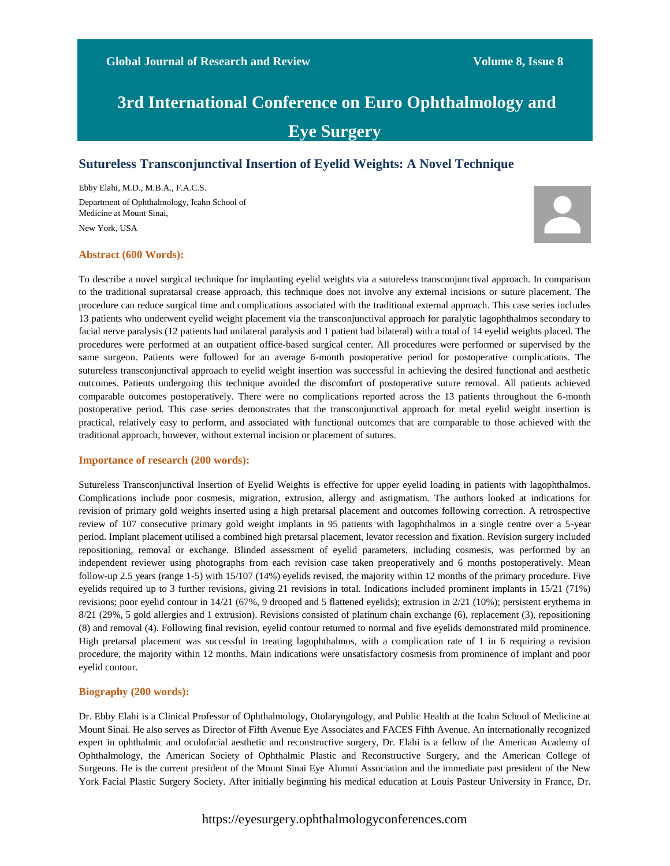# **3rd International Conference on Euro Ophthalmology and Eye Surgery**

## **Sutureless Transconjunctival Insertion of Eyelid Weights: A Novel Technique**

Ebby Elahi, M.D., M.B.A., F.A.C.S. Department of Ophthalmology, Icahn School of Medicine at Mount Sinai, New York, USA



### **Abstract (600 Words):**

To describe a novel surgical technique for implanting eyelid weights via a sutureless transconjunctival approach. In comparison to the traditional supratarsal crease approach, this technique does not involve any external incisions or suture placement. The procedure can reduce surgical time and complications associated with the traditional external approach. This case series includes 13 patients who underwent eyelid weight placement via the transconjunctival approach for paralytic lagophthalmos secondary to facial nerve paralysis (12 patients had unilateral paralysis and 1 patient had bilateral) with a total of 14 eyelid weights placed. The procedures were performed at an outpatient office-based surgical center. All procedures were performed or supervised by the same surgeon. Patients were followed for an average 6-month postoperative period for postoperative complications. The sutureless transconjunctival approach to eyelid weight insertion was successful in achieving the desired functional and aesthetic outcomes. Patients undergoing this technique avoided the discomfort of postoperative suture removal. All patients achieved comparable outcomes postoperatively. There were no complications reported across the 13 patients throughout the 6-month postoperative period. This case series demonstrates that the transconjunctival approach for metal eyelid weight insertion is practical, relatively easy to perform, and associated with functional outcomes that are comparable to those achieved with the traditional approach, however, without external incision or placement of sutures.

#### **Importance of research (200 words):**

Sutureless Transconjunctival Insertion of Eyelid Weights is effective for upper eyelid loading in patients with lagophthalmos. Complications include poor cosmesis, migration, extrusion, allergy and astigmatism. The authors looked at indications for revision of primary gold weights inserted using a high pretarsal placement and outcomes following correction. A retrospective review of 107 consecutive primary gold weight implants in 95 patients with lagophthalmos in a single centre over a 5-year period. Implant placement utilised a combined high pretarsal placement, levator recession and fixation. Revision surgery included repositioning, removal or exchange. Blinded assessment of eyelid parameters, including cosmesis, was performed by an independent reviewer using photographs from each revision case taken preoperatively and 6 months postoperatively. Mean follow-up 2.5 years (range 1-5) with 15/107 (14%) eyelids revised, the majority within 12 months of the primary procedure. Five eyelids required up to 3 further revisions, giving 21 revisions in total. Indications included prominent implants in 15/21 (71%) revisions; poor eyelid contour in 14/21 (67%, 9 drooped and 5 flattened eyelids); extrusion in 2/21 (10%); persistent erythema in 8/21 (29%, 5 gold allergies and 1 extrusion). Revisions consisted of platinum chain exchange (6), replacement (3), repositioning (8) and removal (4). Following final revision, eyelid contour returned to normal and five eyelids demonstrated mild prominence. High pretarsal placement was successful in treating lagophthalmos, with a complication rate of 1 in 6 requiring a revision procedure, the majority within 12 months. Main indications were unsatisfactory cosmesis from prominence of implant and poor eyelid contour.

### **Biography (200 words):**

Dr. Ebby Elahi is a Clinical Professor of Ophthalmology, Otolaryngology, and Public Health at the Icahn School of Medicine at Mount Sinai. He also serves as Director of Fifth Avenue Eye Associates and FACES Fifth Avenue. An internationally recognized expert in ophthalmic and oculofacial aesthetic and reconstructive surgery, Dr. Elahi is a fellow of the American Academy of Ophthalmology, the American Society of Ophthalmic Plastic and Reconstructive Surgery, and the American College of Surgeons. He is the current president of the Mount Sinai Eye Alumni Association and the immediate past president of the New York Facial Plastic Surgery Society. After initially beginning his medical education at Louis Pasteur University in France, Dr.